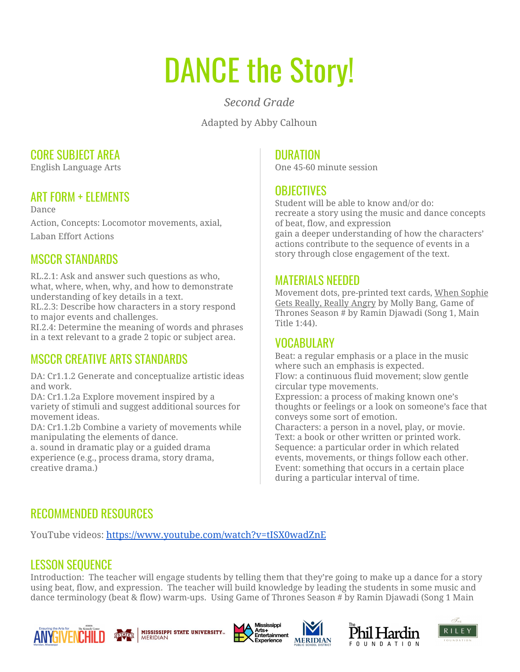# DANCE the Story!

*Second Grade*

Adapted by Abby Calhoun

#### CORE SUBJECT AREA

English Language Arts

## ART FORM + ELEMENTS

Dance Action, Concepts: Locomotor movements, axial, Laban Effort Actions

## MSCCR STANDARDS

RL.2.1: Ask and answer such questions as who, what, where, when, why, and how to demonstrate understanding of key details in a text.

RL.2.3: Describe how characters in a story respond to major events and challenges.

RI.2.4: Determine the meaning of words and phrases in a text relevant to a grade 2 topic or subject area.

# MSCCR CREATIVE ARTS STANDARDS

DA: Cr1.1.2 Generate and conceptualize artistic ideas and work.

DA: Cr1.1.2a Explore movement inspired by a variety of stimuli and suggest additional sources for movement ideas.

DA: Cr1.1.2b Combine a variety of movements while manipulating the elements of dance.

a. sound in dramatic play or a guided drama experience (e.g., process drama, story drama, creative drama.)

#### **DURATION**

One 45-60 minute session

#### **OBJECTIVES**

Student will be able to know and/or do: recreate a story using the music and dance concepts of beat, flow, and expression gain a deeper understanding of how the characters' actions contribute to the sequence of events in a story through close engagement of the text.

#### MATERIALS NEEDED

Movement dots, pre-printed text cards, When Sophie Gets Really, Really Angry by Molly Bang, Game of Thrones Season # by Ramin Djawadi (Song 1, Main Title 1:44).

### VOCABULARY

Beat: a regular emphasis or a place in the music where such an emphasis is expected. Flow: a continuous fluid movement; slow gentle circular type movements.

Expression: a process of making known one's thoughts or feelings or a look on someone's face that conveys some sort of emotion.

Characters: a person in a novel, play, or movie. Text: a book or other written or printed work. Sequence: a particular order in which related events, movements, or things follow each other. Event: something that occurs in a certain place during a particular interval of time.

# RECOMMENDED RESOURCES

YouTube videos: <https://www.youtube.com/watch?v=tISX0wadZnE>

# LESSON SEQUENCE

Introduction: The teacher will engage students by telling them that they're going to make up a dance for a story using beat, flow, and expression. The teacher will build knowledge by leading the students in some music and dance terminology (beat & flow) warm-ups. Using Game of Thrones Season # by Ramin Djawadi (Song 1 Main











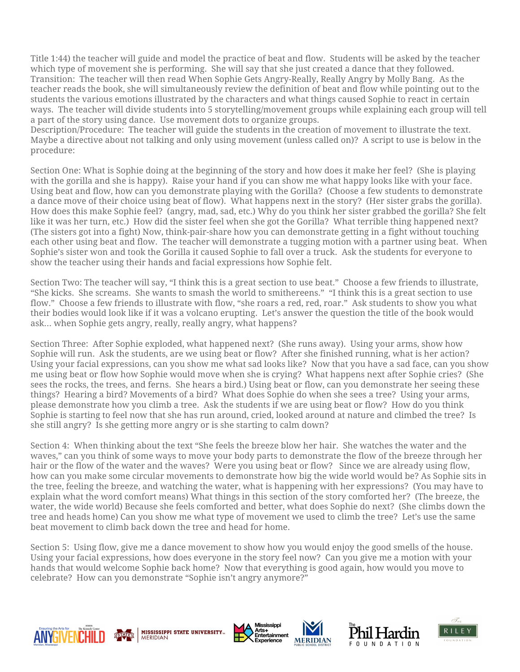Title 1:44) the teacher will guide and model the practice of beat and flow. Students will be asked by the teacher which type of movement she is performing. She will say that she just created a dance that they followed. Transition: The teacher will then read When Sophie Gets Angry-Really, Really Angry by Molly Bang. As the teacher reads the book, she will simultaneously review the definition of beat and flow while pointing out to the students the various emotions illustrated by the characters and what things caused Sophie to react in certain ways. The teacher will divide students into 5 storytelling/movement groups while explaining each group will tell a part of the story using dance. Use movement dots to organize groups.

Description/Procedure: The teacher will guide the students in the creation of movement to illustrate the text. Maybe a directive about not talking and only using movement (unless called on)? A script to use is below in the procedure:

Section One: What is Sophie doing at the beginning of the story and how does it make her feel? (She is playing with the gorilla and she is happy). Raise your hand if you can show me what happy looks like with your face. Using beat and flow, how can you demonstrate playing with the Gorilla? (Choose a few students to demonstrate a dance move of their choice using beat of flow). What happens next in the story? (Her sister grabs the gorilla). How does this make Sophie feel? (angry, mad, sad, etc.) Why do you think her sister grabbed the gorilla? She felt like it was her turn, etc.) How did the sister feel when she got the Gorilla? What terrible thing happened next? (The sisters got into a fight) Now, think-pair-share how you can demonstrate getting in a fight without touching each other using beat and flow. The teacher will demonstrate a tugging motion with a partner using beat. When Sophie's sister won and took the Gorilla it caused Sophie to fall over a truck. Ask the students for everyone to show the teacher using their hands and facial expressions how Sophie felt.

Section Two: The teacher will say, "I think this is a great section to use beat." Choose a few friends to illustrate, "She kicks. She screams. She wants to smash the world to smithereens." "I think this is a great section to use flow." Choose a few friends to illustrate with flow, "she roars a red, red, roar." Ask students to show you what their bodies would look like if it was a volcano erupting. Let's answer the question the title of the book would ask… when Sophie gets angry, really, really angry, what happens?

Section Three: After Sophie exploded, what happened next? (She runs away). Using your arms, show how Sophie will run. Ask the students, are we using beat or flow? After she finished running, what is her action? Using your facial expressions, can you show me what sad looks like? Now that you have a sad face, can you show me using beat or flow how Sophie would move when she is crying? What happens next after Sophie cries? (She sees the rocks, the trees, and ferns. She hears a bird.) Using beat or flow, can you demonstrate her seeing these things? Hearing a bird? Movements of a bird? What does Sophie do when she sees a tree? Using your arms, please demonstrate how you climb a tree. Ask the students if we are using beat or flow? How do you think Sophie is starting to feel now that she has run around, cried, looked around at nature and climbed the tree? Is she still angry? Is she getting more angry or is she starting to calm down?

Section 4: When thinking about the text "She feels the breeze blow her hair. She watches the water and the waves," can you think of some ways to move your body parts to demonstrate the flow of the breeze through her hair or the flow of the water and the waves? Were you using beat or flow? Since we are already using flow, how can you make some circular movements to demonstrate how big the wide world would be? As Sophie sits in the tree, feeling the breeze, and watching the water, what is happening with her expressions? (You may have to explain what the word comfort means) What things in this section of the story comforted her? (The breeze, the water, the wide world) Because she feels comforted and better, what does Sophie do next? (She climbs down the tree and heads home) Can you show me what type of movement we used to climb the tree? Let's use the same beat movement to climb back down the tree and head for home.

Section 5: Using flow, give me a dance movement to show how you would enjoy the good smells of the house. Using your facial expressions, how does everyone in the story feel now? Can you give me a motion with your hands that would welcome Sophie back home? Now that everything is good again, how would you move to celebrate? How can you demonstrate "Sophie isn't angry anymore?"